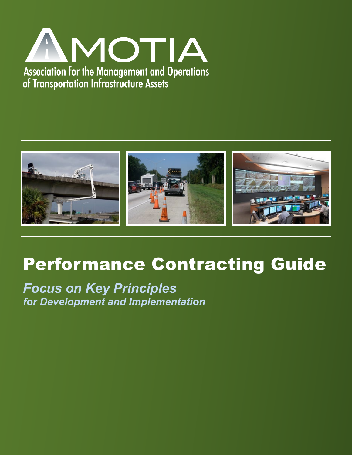



# Performance Contracting Guide

*Focus on Key Principles for Development and Implementation*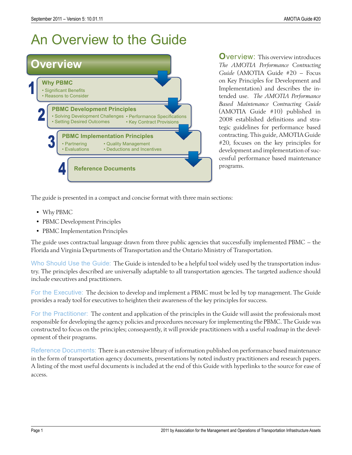

**O**verview: This overview introduces *The AMOTIA Performance Contracting Guide* (AMOTIA Guide #20 – Focus on Key Principles for Development and Implementation) and describes the intended use. *The AMOTIA Performance Based Maintenance Contracting Guide* (AMOTIA Guide #10) published in 2008 established definitions and strategic guidelines for performance based contracting. This guide, AMOTIA Guide #20, focuses on the key principles for development and implementation of successful performance based maintenance programs.

The guide is presented in a compact and concise format with three main sections:

- Why PBMC
- PBMC Development Principles
- PBMC Implementation Principles

The guide uses contractual language drawn from three public agencies that successfully implemented PBMC – the Florida and Virginia Departments of Transportation and the Ontario Ministry of Transportation.

Who Should Use the Guide: The Guide is intended to be a helpful tool widely used by the transportation industry. The principles described are universally adaptable to all transportation agencies. The targeted audience should include executives and practitioners.

For the Executive: The decision to develop and implement a PBMC must be led by top management. The Guide provides a ready tool for executives to heighten their awareness of the key principles for success.

For the Practitioner: The content and application of the principles in the Guide will assist the professionals most responsible for developing the agency policies and procedures necessary for implementing the PBMC. The Guide was constructed to focus on the principles; consequently, it will provide practitioners with a useful roadmap in the development of their programs.

Reference Documents: There is an extensive library of information published on performance based maintenance in the form of transportation agency documents, presentations by noted industry practitioners and research papers. A listing of the most useful documents is included at the end of this Guide with hyperlinks to the source for ease of access.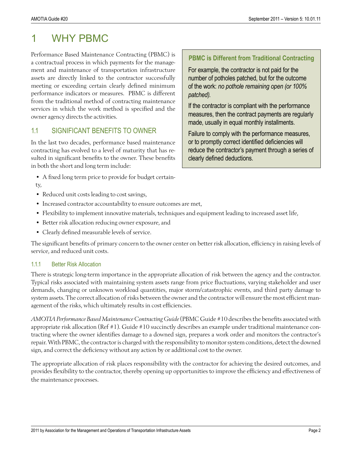# 1 WHY PRMC

Performance Based Maintenance Contracting (PBMC) is a contractual process in which payments for the management and maintenance of transportation infrastructure assets are directly linked to the contractor successfully meeting or exceeding certain clearly defined minimum performance indicators or measures. PBMC is different from the traditional method of contracting maintenance services in which the work method is specified and the owner agency directs the activities.

### 1.1 SIGNIFICANT BENEFITS TO OWNER

In the last two decades, performance based maintenance contracting has evolved to a level of maturity that has resulted in significant benefits to the owner. These benefits in both the short and long term include:

• A fixed long term price to provide for budget certain-

#### ty,

- Reduced unit costs leading to cost savings,
- Increased contractor accountability to ensure outcomes are met,
- Flexibility to implement innovative materials, techniques and equipment leading to increased asset life,
- Better risk allocation reducing owner exposure, and
- Clearly defined measurable levels of service.

The significant benefits of primary concern to the owner center on better risk allocation, efficiency in raising levels of service, and reduced unit costs.

#### 1.1.1 Better Risk Allocation

There is strategic long-term importance in the appropriate allocation of risk between the agency and the contractor. Typical risks associated with maintaining system assets range from price fluctuations, varying stakeholder and user demands, changing or unknown workload quantities, major storm/catastrophic events, and third party damage to system assets. The correct allocation of risks between the owner and the contractor will ensure the most efficient management of the risks, which ultimately results in cost efficiencies.

*AMOTIA Performance Based Maintenance Contracting Guide* (PBMC Guide #10 describes the benefits associated with appropriate risk allocation (Ref #1). Guide #10 succinctly describes an example under traditional maintenance contracting where the owner identifies damage to a downed sign, prepares a work order and monitors the contractor's repair. With PBMC, the contractor is charged with the responsibility to monitor system conditions, detect the downed sign, and correct the deficiency without any action by or additional cost to the owner.

The appropriate allocation of risk places responsibility with the contractor for achieving the desired outcomes, and provides flexibility to the contractor, thereby opening up opportunities to improve the efficiency and effectiveness of the maintenance processes.

#### **PBMC is Different from Traditional Contracting**

For example, the contractor is not paid for the number of potholes patched, but for the outcome of the work: *no pothole remaining open (or 100% patched).*

If the contractor is compliant with the performance measures, then the contract payments are regularly made, usually in equal monthly installments.

Failure to comply with the performance measures, or to promptly correct identified deficiencies will reduce the contractor's payment through a series of clearly defined deductions.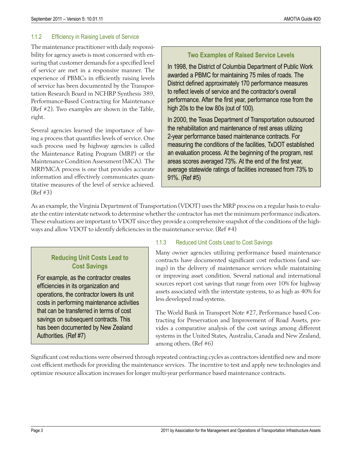#### 1.1.2 Efficiency in Raising Levels of Service

The maintenance practitioner with daily responsibility for agency assets is most concerned with ensuring that customer demands for a specified level of service are met in a responsive manner. The experience of PBMCs in efficiently raising levels of service has been documented by the Transportation Research Board in NCHRP Synthesis 389, Performance-Based Contracting for Maintenance (Ref #2). Two examples are shown in the Table, right.

Several agencies learned the importance of having a process that quantifies levels of service. One such process used by highway agencies is called the Maintenance Rating Program (MRP) or the Maintenance Condition Assessment (MCA). The MRP/MCA process is one that provides accurate information and effectively communicates quantitative measures of the level of service achieved. (Ref #3)

#### **Two Examples of Raised Service Levels**

In 1998, the District of Columbia Department of Public Work awarded a PBMC for maintaining 75 miles of roads. The District defined approximately 170 performance measures to reflect levels of service and the contractor's overall performance. After the first year, performance rose from the high 20s to the low 80s (out of 100).

In 2000, the Texas Department of Transportation outsourced the rehabilitation and maintenance of rest areas utilizing 2-year performance based maintenance contracts. For measuring the conditions of the facilities, TxDOT established an evaluation process. At the beginning of the program, rest areas scores averaged 73%. At the end of the first year, average statewide ratings of facilities increased from 73% to 91%. (Ref #5)

As an example, the Virginia Department of Transportation (VDOT) uses the MRP process on a regular basis to evaluate the entire interstate network to determine whether the contractor has met the minimum performance indicators. These evaluations are important to VDOT since they provide a comprehensive snapshot of the conditions of the highways and allow VDOT to identify deficiencies in the maintenance service. (Ref #4)

### **Reducing Unit Costs Lead to Cost Savings**

For example, as the contractor creates efficiencies in its organization and operations, the contractor lowers its unit costs in performing maintenance activities that can be transferred in terms of cost savings on subsequent contracts. This has been documented by New Zealand Authorities. (Ref #7)

#### 1.1.3 Reduced Unit Costs Lead to Cost Savings

Many owner agencies utilizing performance based maintenance contracts have documented significant cost reductions (and savings) in the delivery of maintenance services while maintaining or improving asset condition. Several national and international sources report cost savings that range from over 10% for highway assets associated with the interstate systems, to as high as 40% for less developed road systems.

The World Bank in Transport Note #27, Performance based Contracting for Preservation and Improvement of Road Assets, provides a comparative analysis of the cost savings among different systems in the United States, Australia, Canada and New Zealand, among others. (Ref #6)

Significant cost reductions were observed through repeated contracting cycles as contractors identified new and more cost efficient methods for providing the maintenance services. The incentive to test and apply new technologies and optimize resource allocation increases for longer multi-year performance based maintenance contracts.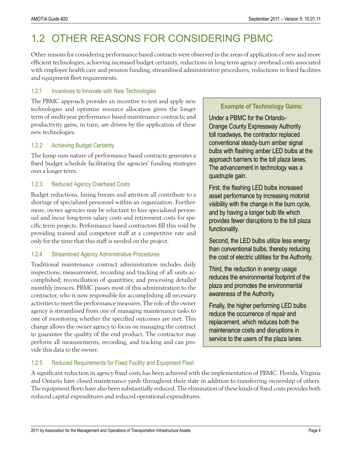# 1.2 OTHER REASONS FOR CONSIDERING PBMC

Other reasons for considering performance based contracts were observed in the areas of application of new and more efficient technologies, achieving increased budget certainty, reductions in long term agency overhead costs associated with employee health care and pension funding, streamlined administrative procedures, reductions in fixed facilities and equipment fleet requirements.

#### 1.2.1 Incentives to Innovate with New Technologies

The PBMC approach provides an incentive to test and apply new technologies and optimize resource allocation given the longer term of multi-year performance based maintenance contracts; and productivity gains, in turn, are driven by the application of these new technologies.

#### 1.2.2 Achieving Budget Certainty

The lump sum nature of performance based contracts generates a fixed budget schedule facilitating the agencies' funding strategies over a longer term.

#### 1.2.3 Reduced Agency Overhead Costs

Budget reductions, hiring freezes and attrition all contribute to a shortage of specialized personnel within an organization. Furthermore, owner agencies may be reluctant to hire specialized personnel and incur long-term salary costs and retirement costs for specific term projects. Performance based contractors fill this void by providing trained and competent staff at a competitive rate and only for the time that this staff is needed on the project.

#### 1.2.4 Streamlined Agency Administrative Procedures

Traditional maintenance contract administration includes daily inspections; measurement, recording and tracking of all units accomplished; reconciliation of quantities; and processing detailed monthly invoices. PBMC passes most of this administration to the contractor, who is now responsible for accomplishing all necessary activities to meet the performance measures. The role of the owner agency is streamlined from one of managing maintenance tasks to one of monitoring whether the specified outcomes are met. This change allows the owner agency to focus on managing the contract to guarantee the quality of the end product. The contractor may perform all measurements, recording, and tracking and can provide this data to the owner.

#### **Example of Technology Gains:**

Under a PBMC for the Orlando-Orange County Expressway Authority toll roadways, the contractor replaced conventional steady-burn amber signal bulbs with flashing amber LED bulbs at the approach barriers to the toll plaza lanes. The advancement in technology was a quadruple gain.

First, the flashing LED bulbs increased asset performance by increasing motorist visibility with the change in the burn cycle, and by having a longer bulb life which provides fewer disruptions to the toll plaza functionality.

Second, the LED bulbs utilize less energy than conventional bulbs, thereby reducing the cost of electric utilities for the Authority.

Third, the reduction in energy usage reduces the environmental footprint of the plaza and promotes the environmental awareness of the Authority.

Finally, the higher performing LED bulbs reduce the occurrence of repair and replacement, which reduces both the maintenance costs and disruptions in service to the users of the plaza lanes.

#### 1.2.5 Reduced Requirements for Fixed Facility and Equipment Fleet

A significant reduction in agency fixed costs has been achieved with the implementation of PBMC. Florida, Virginia and Ontario have closed maintenance yards throughout their state in addition to transferring ownership of others. The equipment fleets have also been substantially reduced. The elimination of these kinds of fixed costs provides both reduced capital expenditures and reduced operational expenditures.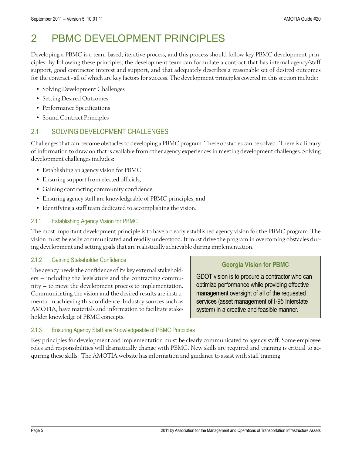# 2 PBMC DEVELOPMENT PRINCIPLES

Developing a PBMC is a team-based, iterative process, and this process should follow key PBMC development principles. By following these principles, the development team can formulate a contract that has internal agency/staff support, good contractor interest and support, and that adequately describes a reasonable set of desired outcomes for the contract - all of which are key factors for success. The development principles covered in this section include:

- Solving Development Challenges
- Setting Desired Outcomes
- Performance Specifications
- Sound Contract Principles

# 2.1 SOLVING DEVELOPMENT CHALLENGES

Challenges that can become obstacles to developing a PBMC program. These obstacles can be solved. There is a library of information to draw on that is available from other agency experiences in meeting development challenges. Solving development challenges includes:

- Establishing an agency vision for PBMC,
- Ensuring support from elected officials,
- Gaining contracting community confidence,
- Ensuring agency staff are knowledgeable of PBMC principles, and
- Identifying a staff team dedicated to accomplishing the vision.

#### 2.1.1 Establishing Agency Vision for PBMC

The most important development principle is to have a clearly established agency vision for the PBMC program. The vision must be easily communicated and readily understood. It must drive the program in overcoming obstacles during development and setting goals that are realistically achievable during implementation.

#### 2.1.2 Gaining Stakeholder Confidence

The agency needs the confidence of its key external stakeholders – including the legislature and the contracting community – to move the development process to implementation. Communicating the vision and the desired results are instrumental in achieving this confidence. Industry sources such as AMOTIA, have materials and information to facilitate stakeholder knowledge of PBMC concepts.

#### **Georgia Vision for PBMC**

GDOT vision is to procure a contractor who can optimize performance while providing effective management oversight of all of the requested services (asset management of I-95 Interstate system) in a creative and feasible manner.

#### 2.1.3 Ensuring Agency Staff are Knowledgeable of PBMC Principles

Key principles for development and implementation must be clearly communicated to agency staff. Some employee roles and responsibilities will dramatically change with PBMC. New skills are required and training is critical to acquiring these skills. The AMOTIA website has information and guidance to assist with staff training.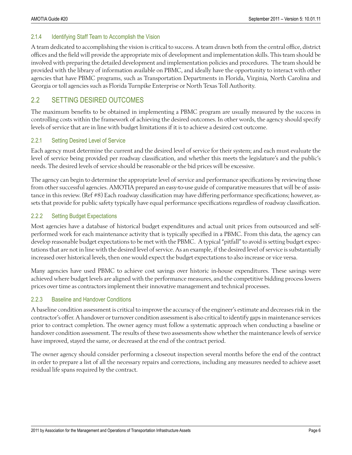#### 2.1.4 Identifying Staff Team to Accomplish the Vision

A team dedicated to accomplishing the vision is critical to success. A team drawn both from the central office, district offices and the field will provide the appropriate mix of development and implementation skills. This team should be involved with preparing the detailed development and implementation policies and procedures. The team should be provided with the library of information available on PBMC, and ideally have the opportunity to interact with other agencies that have PBMC programs, such as Transportation Departments in Florida, Virginia, North Carolina and Georgia or toll agencies such as Florida Turnpike Enterprise or North Texas Toll Authority.

# 2.2 SETTING DESIRED OUTCOMES

The maximum benefits to be obtained in implementing a PBMC program are usually measured by the success in controlling costs within the framework of achieving the desired outcomes. In other words, the agency should specify levels of service that are in line with budget limitations if it is to achieve a desired cost outcome.

#### 2.2.1 Setting Desired Level of Service

Each agency must determine the current and the desired level of service for their system; and each must evaluate the level of service being provided per roadway classification, and whether this meets the legislature's and the public's needs. The desired levels of service should be reasonable or the bid prices will be excessive.

The agency can begin to determine the appropriate level of service and performance specifications by reviewing those from other successful agencies. AMOTIA prepared an easy-to-use guide of comparative measures that will be of assistance in this review. (Ref #8) Each roadway classification may have differing performance specifications; however, assets that provide for public safety typically have equal performance specifications regardless of roadway classification.

#### 2.2.2 Setting Budget Expectations

Most agencies have a database of historical budget expenditures and actual unit prices from outsourced and selfperformed work for each maintenance activity that is typically specified in a PBMC. From this data, the agency can develop reasonable budget expectations to be met with the PBMC. A typical "pitfall" to avoid is setting budget expectations that are not in line with the desired level of service. As an example, if the desired level of service is substantially increased over historical levels, then one would expect the budget expectations to also increase or vice versa.

Many agencies have used PBMC to achieve cost savings over historic in-house expenditures. These savings were achieved where budget levels are aligned with the performance measures, and the competitive bidding process lowers prices over time as contractors implement their innovative management and technical processes.

#### 2.2.3 Baseline and Handover Conditions

A baseline condition assessment is critical to improve the accuracy of the engineer's estimate and decreases risk in the contractor's offer. A handover or turnover condition assessment is also critical to identify gaps in maintenance services prior to contract completion. The owner agency must follow a systematic approach when conducting a baseline or handover condition assessment. The results of these two assessments show whether the maintenance levels of service have improved, stayed the same, or decreased at the end of the contract period.

The owner agency should consider performing a closeout inspection several months before the end of the contract in order to prepare a list of all the necessary repairs and corrections, including any measures needed to achieve asset residual life spans required by the contract.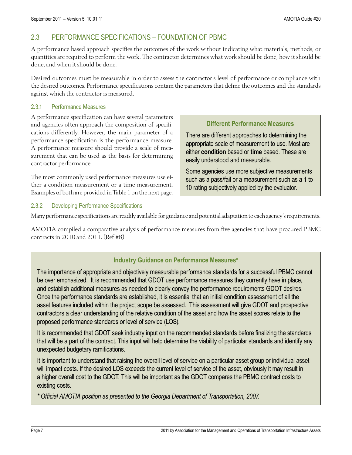# 2.3 PERFORMANCE SPECIFICATIONS – FOUNDATION OF PBMC

A performance based approach specifies the outcomes of the work without indicating what materials, methods, or quantities are required to perform the work. The contractor determines what work should be done, how it should be done, and when it should be done.

Desired outcomes must be measurable in order to assess the contractor's level of performance or compliance with the desired outcomes. Performance specifications contain the parameters that define the outcomes and the standards against which the contractor is measured.

#### 2.3.1 Performance Measures

A performance specification can have several parameters and agencies often approach the composition of specifications differently. However, the main parameter of a performance specification is the performance measure. A performance measure should provide a scale of measurement that can be used as the basis for determining contractor performance.

The most commonly used performance measures use either a condition measurement or a time measurement. Examples of both are provided in Table 1 on the next page.

#### **Different Performance Measures**

There are different approaches to determining the appropriate scale of measurement to use. Most are either **condition** based or **time** based. These are easily understood and measurable.

Some agencies use more subjective measurements such as a pass/fail or a measurement such as a 1 to 10 rating subjectively applied by the evaluator.

#### 2.3.2 Developing Performance Specifications

Many performance specifications are readily available for guidance and potential adaptation to each agency's requirements.

AMOTIA compiled a comparative analysis of performance measures from five agencies that have procured PBMC contracts in 2010 and 2011. (Ref #8)

#### **Industry Guidance on Performance Measures\***

The importance of appropriate and objectively measurable performance standards for a successful PBMC cannot be over emphasized. It is recommended that GDOT use performance measures they currently have in place, and establish additional measures as needed to clearly convey the performance requirements GDOT desires. Once the performance standards are established, it is essential that an initial condition assessment of all the asset features included within the project scope be assessed. This assessment will give GDOT and prospective contractors a clear understanding of the relative condition of the asset and how the asset scores relate to the proposed performance standards or level of service (LOS).

It is recommended that GDOT seek industry input on the recommended standards before finalizing the standards that will be a part of the contract. This input will help determine the viability of particular standards and identify any unexpected budgetary ramifications.

It is important to understand that raising the overall level of service on a particular asset group or individual asset will impact costs. If the desired LOS exceeds the current level of service of the asset, obviously it may result in a higher overall cost to the GDOT. This will be important as the GDOT compares the PBMC contract costs to existing costs.

*\* Official AMOTIA position as presented to the Georgia Department of Transportation, 2007.*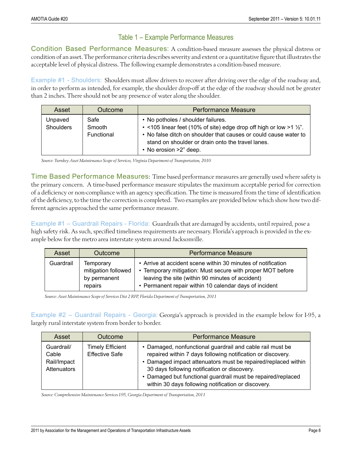### Table 1 – Example Performance Measures

Condition Based Performance Measures: A condition-based measure assesses the physical distress or condition of an asset. The performance criteria describes severity and extent or a quantitative figure that illustrates the acceptable level of physical distress. The following example demonstrates a condition-based measure.

Example #1 - Shoulders: Shoulders must allow drivers to recover after driving over the edge of the roadway and, in order to perform as intended, for example, the shoulder drop-off at the edge of the roadway should not be greater than 2 inches. There should not be any presence of water along the shoulder.

| Asset                       | Outcome                      | <b>Performance Measure</b>                                                                                                                                                                                                                                                         |  |
|-----------------------------|------------------------------|------------------------------------------------------------------------------------------------------------------------------------------------------------------------------------------------------------------------------------------------------------------------------------|--|
| Unpaved<br><b>Shoulders</b> | Safe<br>Smooth<br>Functional | • No potholes / shoulder failures.<br>$\cdot$ <105 linear feet (10% of site) edge drop off high or low >1 $\frac{1}{2}$ .<br>• No false ditch on shoulder that causes or could cause water to<br>stand on shoulder or drain onto the travel lanes.<br>$\cdot$ No erosion >2" deep. |  |

*Source: Turnkey Asset Maintenance Scope of Services, Virginia Department of Transportation, 2010* 

Time Based Performance Measures: Time based performance measures are generally used where safety is the primary concern. A time-based performance measure stipulates the maximum acceptable period for correction of a deficiency or non-compliance with an agency specification. The time is measured from the time of identification of the deficiency, to the time the correction is completed. Two examples are provided below which show how two different agencies approached the same performance measure.

Example #1 – Guardrail Repairs - Florida: Guardrails that are damaged by accidents, until repaired, pose a high safety risk. As such, specified timeliness requirements are necessary. Florida's approach is provided in the example below for the metro area interstate system around Jacksonville.

| Asset     | Outcome                                                     | <b>Performance Measure</b>                                                                                                                                                                                                               |  |
|-----------|-------------------------------------------------------------|------------------------------------------------------------------------------------------------------------------------------------------------------------------------------------------------------------------------------------------|--|
| Guardrail | Temporary<br>mitigation followed<br>by permanent<br>repairs | • Arrive at accident scene within 30 minutes of notification<br>• Temporary mitigation: Must secure with proper MOT before<br>leaving the site (within 90 minutes of accident)<br>• Permanent repair within 10 calendar days of incident |  |

*Source: Asset Maintenance Scope of Services Dist 2 RFP, Florida Department of Transportation, 2011* 

Example #2 – Guardrail Repairs - Georgia: Georgia's approach is provided in the example below for I-95, a largely rural interstate system from border to border.

| Asset                                             | <b>Outcome</b>                                   | <b>Performance Measure</b>                                                                                                                                                                                                                                                                                                                                       |  |
|---------------------------------------------------|--------------------------------------------------|------------------------------------------------------------------------------------------------------------------------------------------------------------------------------------------------------------------------------------------------------------------------------------------------------------------------------------------------------------------|--|
| Guardrail/<br>Cable<br>Rail/Impact<br>Attenuators | <b>Timely Efficient</b><br><b>Effective Safe</b> | • Damaged, nonfunctional guardrail and cable rail must be<br>repaired within 7 days following notification or discovery.<br>• Damaged impact attenuators must be repaired/replaced within<br>30 days following notification or discovery.<br>• Damaged but functional guardrail must be repaired/replaced<br>within 30 days following notification or discovery. |  |

*Source: Comprehensive Maintenance Services I-95, Georgia Department of Transportation, 2011*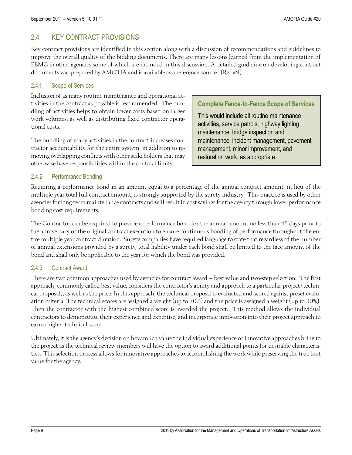# 2.4 KEY CONTRACT PROVISIONS

Key contract provisions are identified in this section along with a discussion of recommendations and guidelines to improve the overall quality of the bidding documents. There are many lessons learned from the implementation of PBMC in other agencies some of which are included in this discussion. A detailed guideline on developing contract documents was prepared by AMOTIA and is available as a reference source. (Ref #9)

#### 2.4.1 Scope of Services

Inclusion of as many routine maintenance and operational activities in the contract as possible is recommended. The bundling of activities helps to obtain lower costs based on larger work volumes, as well as distributing fixed contractor operational costs.

The bundling of many activities in the contract increases contractor accountability for the entire system, in addition to removing overlapping conflicts with other stakeholders that may otherwise have responsibilities within the contract limits.

#### **Complete Fence-to-Fence Scope of Services**

This would include all routine maintenance activities, service patrols, highway lighting maintenance, bridge inspection and maintenance, incident management, pavement management, minor improvement, and restoration work, as appropriate.

#### 2.4.2 Performance Bonding

Requiring a performance bond in an amount equal to a percentage of the annual contract amount, in lieu of the multiple year total full contract amount, is strongly supported by the surety industry. This practice is used by other agencies for long-term maintenance contracts and will result in cost savings for the agency through lower performance bonding cost requirements.

The Contractor can be required to provide a performance bond for the annual amount no less than 45 days prior to the anniversary of the original contract execution to ensure continuous bonding of performance throughout the entire multiple year contract duration. Surety companies have required language to state that regardless of the number of annual extensions provided by a surety, total liability under each bond shall be limited to the face amount of the bond and shall only be applicable to the year for which the bond was provided.

#### 2.4.3 Contract Award

There are two common approaches used by agencies for contract award – best value and two-step selection. The first approach, commonly called best value, considers the contractor's ability and approach to a particular project (technical proposal), as well as the price. In this approach, the technical proposal is evaluated and scored against preset evaluation criteria. The technical scores are assigned a weight (up to 70%) and the price is assigned a weight (up to 30%). Then the contractor with the highest combined score is awarded the project. This method allows the individual contractors to demonstrate their experience and expertise, and incorporate innovation into their project approach to earn a higher technical score.

Ultimately, it is the agency's decision on how much value the individual experience or innovative approaches bring to the project as the technical review members will have the option to award additional points for desirable characteristics. This selection process allows for innovative approaches to accomplishing the work while preserving the true best value for the agency.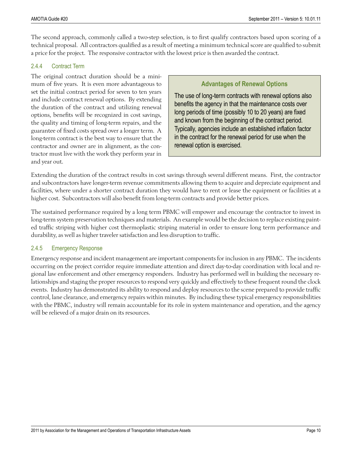The second approach, commonly called a two-step selection, is to first qualify contractors based upon scoring of a technical proposal. All contractors qualified as a result of meeting a minimum technical score are qualified to submit a price for the project. The responsive contractor with the lowest price is then awarded the contract.

#### 2.4.4 Contract Term

The original contract duration should be a minimum of five years. It is even more advantageous to set the initial contract period for seven to ten years and include contract renewal options. By extending the duration of the contract and utilizing renewal options, benefits will be recognized in cost savings, the quality and timing of long-term repairs, and the guarantee of fixed costs spread over a longer term. A long-term contract is the best way to ensure that the contractor and owner are in alignment, as the contractor must live with the work they perform year in and year out.

#### **Advantages of Renewal Options**

The use of long-term contracts with renewal options also benefits the agency in that the maintenance costs over long periods of time (possibly 10 to 20 years) are fixed and known from the beginning of the contract period. Typically, agencies include an established inflation factor in the contract for the renewal period for use when the renewal option is exercised.

Extending the duration of the contract results in cost savings through several different means. First, the contractor and subcontractors have longer-term revenue commitments allowing them to acquire and depreciate equipment and facilities, where under a shorter contract duration they would have to rent or lease the equipment or facilities at a higher cost. Subcontractors will also benefit from long-term contracts and provide better prices.

The sustained performance required by a long term PBMC will empower and encourage the contractor to invest in long-term system preservation techniques and materials. An example would be the decision to replace existing painted traffic striping with higher cost thermoplastic striping material in order to ensure long term performance and durability, as well as higher traveler satisfaction and less disruption to traffic.

#### 2.4.5 Emergency Response

Emergency response and incident management are important components for inclusion in any PBMC. The incidents occurring on the project corridor require immediate attention and direct day-to-day coordination with local and regional law enforcement and other emergency responders. Industry has performed well in building the necessary relationships and staging the proper resources to respond very quickly and effectively to these frequent round the clock events. Industry has demonstrated its ability to respond and deploy resources to the scene prepared to provide traffic control, lane clearance, and emergency repairs within minutes. By including these typical emergency responsibilities with the PBMC, industry will remain accountable for its role in system maintenance and operation, and the agency will be relieved of a major drain on its resources.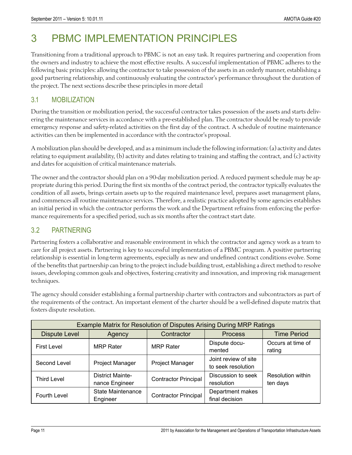# 3 PBMC IMPLEMENTATION PRINCIPLES

Transitioning from a traditional approach to PBMC is not an easy task. It requires partnering and cooperation from the owners and industry to achieve the most effective results. A successful implementation of PBMC adheres to the following basic principles: allowing the contractor to take possession of the assets in an orderly manner, establishing a good partnering relationship, and continuously evaluating the contractor's performance throughout the duration of the project. The next sections describe these principles in more detail

### 3.1 MOBILIZATION

During the transition or mobilization period, the successful contractor takes possession of the assets and starts delivering the maintenance services in accordance with a pre-established plan. The contractor should be ready to provide emergency response and safety-related activities on the first day of the contract. A schedule of routine maintenance activities can then be implemented in accordance with the contractor's proposal.

A mobilization plan should be developed, and as a minimum include the following information: (a) activity and dates relating to equipment availability, (b) activity and dates relating to training and staffing the contract, and (c) activity and dates for acquisition of critical maintenance materials.

The owner and the contractor should plan on a 90-day mobilization period. A reduced payment schedule may be appropriate during this period. During the first six months of the contract period, the contractor typically evaluates the condition of all assets, brings certain assets up to the required maintenance level, prepares asset management plans, and commences all routine maintenance services. Therefore, a realistic practice adopted by some agencies establishes an initial period in which the contractor performs the work and the Department refrains from enforcing the performance requirements for a specified period, such as six months after the contract start date.

# 3.2 PARTNERING

Partnering fosters a collaborative and reasonable environment in which the contractor and agency work as a team to care for all project assets. Partnering is key to successful implementation of a PBMC program. A positive partnering relationship is essential in long-term agreements, especially as new and undefined contract conditions evolve. Some of the benefits that partnership can bring to the project include building trust, establishing a direct method to resolve issues, developing common goals and objectives, fostering creativity and innovation, and improving risk management techniques.

The agency should consider establishing a formal partnership charter with contractors and subcontractors as part of the requirements of the contract. An important element of the charter should be a well-defined dispute matrix that fosters dispute resolution.

| Example Matrix for Resolution of Disputes Arising During MRP Ratings |                                           |                             |                                            |                                      |  |  |  |
|----------------------------------------------------------------------|-------------------------------------------|-----------------------------|--------------------------------------------|--------------------------------------|--|--|--|
| <b>Dispute Level</b>                                                 | Agency                                    | Contractor                  | <b>Process</b>                             | <b>Time Period</b>                   |  |  |  |
| <b>First Level</b>                                                   | <b>MRP Rater</b>                          | <b>MRP Rater</b>            | Dispute docu-<br>mented                    | Occurs at time of<br>rating          |  |  |  |
| Second Level                                                         | Project Manager                           | <b>Project Manager</b>      | Joint review of site<br>to seek resolution |                                      |  |  |  |
| <b>Third Level</b>                                                   | <b>District Mainte-</b><br>nance Engineer | <b>Contractor Principal</b> | Discussion to seek<br>resolution           | <b>Resolution within</b><br>ten days |  |  |  |
| Fourth Level                                                         | <b>State Maintenance</b><br>Engineer      | <b>Contractor Principal</b> | Department makes<br>final decision         |                                      |  |  |  |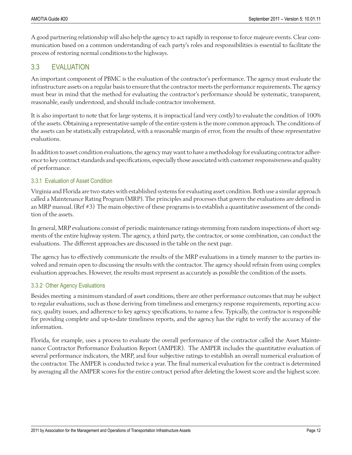A good partnering relationship will also help the agency to act rapidly in response to force majeure events. Clear communication based on a common understanding of each party's roles and responsibilities is essential to facilitate the process of restoring normal conditions to the highways.

# 3.3 EVALUATION

An important component of PBMC is the evaluation of the contractor's performance. The agency must evaluate the infrastructure assets on a regular basis to ensure that the contractor meets the performance requirements. The agency must bear in mind that the method for evaluating the contractor's performance should be systematic, transparent, reasonable, easily understood, and should include contractor involvement.

It is also important to note that for large systems, it is impractical (and very costly) to evaluate the condition of 100% of the assets. Obtaining a representative sample of the entire system is the more common approach. The conditions of the assets can be statistically extrapolated, with a reasonable margin of error, from the results of these representative evaluations.

In addition to asset condition evaluations, the agency may want to have a methodology for evaluating contractor adherence to key contract standards and specifications, especially those associated with customer responsiveness and quality of performance.

#### 3.3.1 Evaluation of Asset Condition

Virginia and Florida are two states with established systems for evaluating asset condition. Both use a similar approach called a Maintenance Rating Program (MRP). The principles and processes that govern the evaluations are defined in an MRP manual. (Ref #3) The main objective of these programs is to establish a quantitative assessment of the condition of the assets.

In general, MRP evaluations consist of periodic maintenance ratings stemming from random inspections of short segments of the entire highway system. The agency, a third party, the contractor, or some combination, can conduct the evaluations. The different approaches are discussed in the table on the next page.

The agency has to effectively communicate the results of the MRP evaluations in a timely manner to the parties involved and remain open to discussing the results with the contractor. The agency should refrain from using complex evaluation approaches. However, the results must represent as accurately as possible the condition of the assets.

#### 3.3.2 Other Agency Evaluations

Besides meeting a minimum standard of asset conditions, there are other performance outcomes that may be subject to regular evaluations, such as those deriving from timeliness and emergency response requirements, reporting accuracy, quality issues, and adherence to key agency specifications, to name a few. Typically, the contractor is responsible for providing complete and up-to-date timeliness reports, and the agency has the right to verify the accuracy of the information.

Florida, for example, uses a process to evaluate the overall performance of the contractor called the Asset Maintenance Contractor Performance Evaluation Report (AMPER). The AMPER includes the quantitative evaluation of several performance indicators, the MRP, and four subjective ratings to establish an overall numerical evaluation of the contractor. The AMPER is conducted twice a year. The final numerical evaluation for the contract is determined by averaging all the AMPER scores for the entire contract period after deleting the lowest score and the highest score.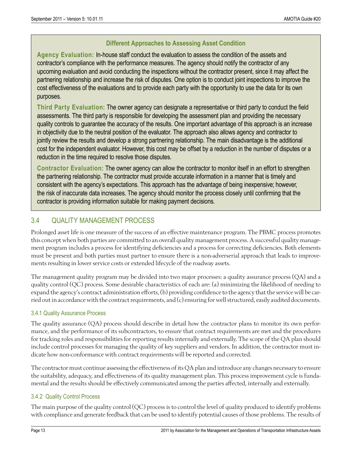#### **Different Approaches to Assessing Asset Condition**

**Agency Evaluation:** In-house staff conduct the evaluation to assess the condition of the assets and contractor's compliance with the performance measures. The agency should notify the contractor of any upcoming evaluation and avoid conducting the inspections without the contractor present, since it may affect the partnering relationship and increase the risk of disputes. One option is to conduct joint inspections to improve the cost effectiveness of the evaluations and to provide each party with the opportunity to use the data for its own purposes.

**Third Party Evaluation:** The owner agency can designate a representative or third party to conduct the field assessments. The third party is responsible for developing the assessment plan and providing the necessary quality controls to guarantee the accuracy of the results. One important advantage of this approach is an increase in objectivity due to the neutral position of the evaluator. The approach also allows agency and contractor to jointly review the results and develop a strong partnering relationship. The main disadvantage is the additional cost for the independent evaluator. However, this cost may be offset by a reduction in the number of disputes or a reduction in the time required to resolve those disputes.

**Contractor Evaluation:** The owner agency can allow the contractor to monitor itself in an effort to strengthen the partnering relationship. The contractor must provide accurate information in a manner that is timely and consistent with the agency's expectations. This approach has the advantage of being inexpensive; however, the risk of inaccurate data increases. The agency should monitor the process closely until confirming that the contractor is providing information suitable for making payment decisions.

# 3.4 QUALITY MANAGEMENT PROCESS

Prolonged asset life is one measure of the success of an effective maintenance program. The PBMC process promotes this concept when both parties are committed to an overall quality management process. A successful quality management program includes a process for identifying deficiencies and a process for correcting deficiencies. Both elements must be present and both parties must partner to ensure there is a non-adverserial approach that leads to improvements resulting in lower service costs or extended lifecycle of the roadway assets.

The management quality program may be divided into two major processes: a quality assurance process (QA) and a quality control (QC) process. Some desirable characteristics of each are: (a) minimizing the likelihood of needing to expand the agency's contract administration efforts, (b) providing confidence to the agency that the service will be carried out in accordance with the contract requirements, and (c) ensuring for well structured, easily audited documents.

#### 3.4.1 Quality Assurance Process

The quality assurance (QA) process should describe in detail how the contractor plans to monitor its own performance, and the performance of its subcontractors, to ensure that contract requirements are met and the procedures for tracking roles and responsibilities for reporting results internally and externally. The scope of the QA plan should include control processes for managing the quality of key suppliers and vendors. In addition, the contractor must indicate how non-conformance with contract requirements will be reported and corrected.

The contractor must continue assessing the effectiveness of its QA plan and introduce any changes necessary to ensure the suitability, adequacy, and effectiveness of its quality management plan. This process improvement cycle is fundamental and the results should be effectively communicated among the parties affected, internally and externally.

#### 3.4.2 Quality Control Process

The main purpose of the quality control (QC) process is to control the level of quality produced to identify problems with compliance and generate feedback that can be used to identify potential causes of those problems. The results of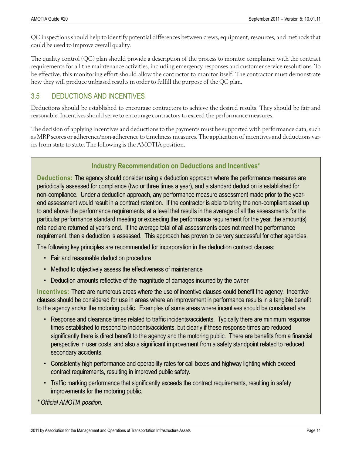QC inspections should help to identify potential differences between crews, equipment, resources, and methods that could be used to improve overall quality.

The quality control (QC) plan should provide a description of the process to monitor compliance with the contract requirements for all the maintenance activities, including emergency responses and customer service resolutions. To be effective, this monitoring effort should allow the contractor to monitor itself. The contractor must demonstrate how they will produce unbiased results in order to fulfill the purpose of the QC plan.

### 3.5 DEDUCTIONS AND INCENTIVES

Deductions should be established to encourage contractors to achieve the desired results. They should be fair and reasonable. Incentives should serve to encourage contractors to exceed the performance measures.

The decision of applying incentives and deductions to the payments must be supported with performance data, such as MRP scores or adherence/non-adherence to timeliness measures. The application of incentives and deductions varies from state to state. The following is the AMOTIA position.

# **Industry Recommendation on Deductions and Incentives\***

**Deductions:** The agency should consider using a deduction approach where the performance measures are periodically assessed for compliance (two or three times a year), and a standard deduction is established for non-compliance. Under a deduction approach, any performance measure assessment made prior to the yearend assessment would result in a contract retention. If the contractor is able to bring the non-compliant asset up to and above the performance requirements, at a level that results in the average of all the assessments for the particular performance standard meeting or exceeding the performance requirement for the year, the amount(s) retained are returned at year's end. If the average total of all assessments does not meet the performance requirement, then a deduction is assessed. This approach has proven to be very successful for other agencies.

The following key principles are recommended for incorporation in the deduction contract clauses:

- Fair and reasonable deduction procedure
- Method to objectively assess the effectiveness of maintenance
- Deduction amounts reflective of the magnitude of damages incurred by the owner

**Incentives:** There are numerous areas where the use of incentive clauses could benefit the agency. Incentive clauses should be considered for use in areas where an improvement in performance results in a tangible benefit to the agency and/or the motoring public. Examples of some areas where incentives should be considered are:

- Response and clearance times related to traffic incidents/accidents. Typically there are minimum response times established to respond to incidents/accidents, but clearly if these response times are reduced significantly there is direct benefit to the agency and the motoring public. There are benefits from a financial perspective in user costs, and also a significant improvement from a safety standpoint related to reduced secondary accidents.
- Consistently high performance and operability rates for call boxes and highway lighting which exceed contract requirements, resulting in improved public safety.
- Traffic marking performance that significantly exceeds the contract requirements, resulting in safety improvements for the motoring public.

*\* Official AMOTIA position.*